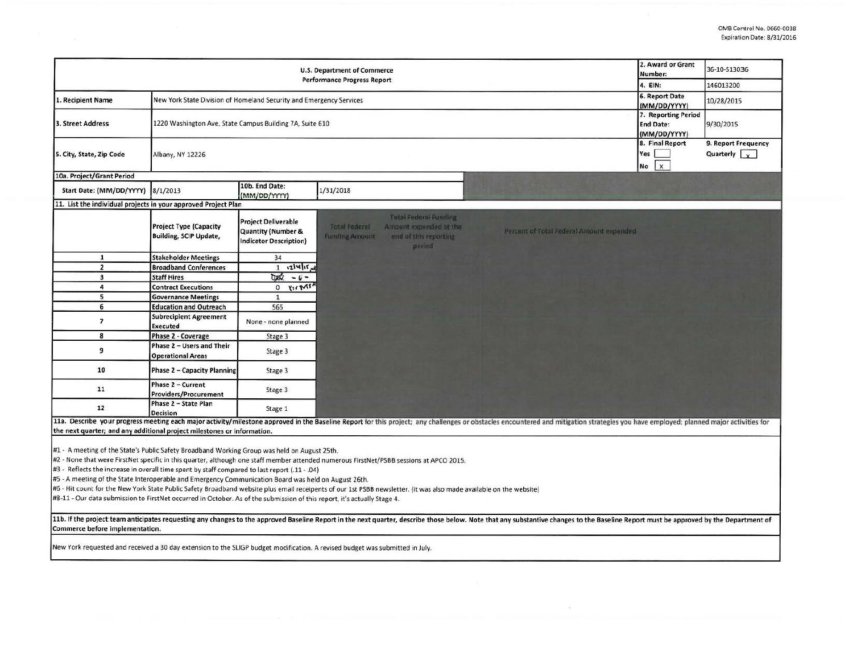| U.S. Department of Commerce<br><b>Performance Progress Report</b>                                                                                                                                                                                                                                                                                                                                                                                                                                                                                                                                                                                                                                                                                   |                                                                     |                                                                                              |                                               |                                                                                            | 2. Award or Grant<br>Number:                            | 36-10-513036                                 |                                             |  |
|-----------------------------------------------------------------------------------------------------------------------------------------------------------------------------------------------------------------------------------------------------------------------------------------------------------------------------------------------------------------------------------------------------------------------------------------------------------------------------------------------------------------------------------------------------------------------------------------------------------------------------------------------------------------------------------------------------------------------------------------------------|---------------------------------------------------------------------|----------------------------------------------------------------------------------------------|-----------------------------------------------|--------------------------------------------------------------------------------------------|---------------------------------------------------------|----------------------------------------------|---------------------------------------------|--|
|                                                                                                                                                                                                                                                                                                                                                                                                                                                                                                                                                                                                                                                                                                                                                     |                                                                     |                                                                                              |                                               |                                                                                            |                                                         | 4. EIN:                                      | 146013200                                   |  |
| 1. Recipient Name                                                                                                                                                                                                                                                                                                                                                                                                                                                                                                                                                                                                                                                                                                                                   | New York State Division of Homeland Security and Emergency Services |                                                                                              |                                               |                                                                                            |                                                         | 6. Report Date<br>(MM/DD/YYYY)               | 10/28/2015                                  |  |
| 3. Street Address                                                                                                                                                                                                                                                                                                                                                                                                                                                                                                                                                                                                                                                                                                                                   | 1220 Washington Ave, State Campus Building 7A, Suite 610            |                                                                                              |                                               |                                                                                            | 7. Reporting Period<br><b>End Date:</b><br>(MM/DD/YYYY) | 9/30/2015                                    |                                             |  |
| 5. City, State, Zip Code                                                                                                                                                                                                                                                                                                                                                                                                                                                                                                                                                                                                                                                                                                                            | Albany, NY 12226                                                    |                                                                                              |                                               |                                                                                            |                                                         | 8. Final Report<br>Yes<br>$\mathbf{x}$<br>No | 9. Report Frequency<br>Quarterly $\sqrt{x}$ |  |
| 10a. Project/Grant Period                                                                                                                                                                                                                                                                                                                                                                                                                                                                                                                                                                                                                                                                                                                           |                                                                     |                                                                                              |                                               |                                                                                            |                                                         |                                              |                                             |  |
| Start Date: (MM/DD/YYYY) 8/1/2013                                                                                                                                                                                                                                                                                                                                                                                                                                                                                                                                                                                                                                                                                                                   |                                                                     | 10b. End Date:<br>(MM/DD/YYYY)                                                               | 1/31/2018                                     |                                                                                            |                                                         |                                              |                                             |  |
| 11. List the individual projects in your approved Project Plan                                                                                                                                                                                                                                                                                                                                                                                                                                                                                                                                                                                                                                                                                      |                                                                     |                                                                                              |                                               |                                                                                            |                                                         |                                              |                                             |  |
|                                                                                                                                                                                                                                                                                                                                                                                                                                                                                                                                                                                                                                                                                                                                                     | <b>Project Type (Capacity</b><br><b>Building, SCIP Update,</b>      | <b>Project Deliverable</b><br><b>Quantity (Number &amp;</b><br><b>Indicator Description)</b> | <b>Total Federal</b><br><b>Funding Amount</b> | <b>Total Federal Funding</b><br>Amount expended at the<br>end of this reporting<br>period. | Percent of Total Federal Amount expended                |                                              |                                             |  |
| $\mathbf{1}$                                                                                                                                                                                                                                                                                                                                                                                                                                                                                                                                                                                                                                                                                                                                        | <b>Stakeholder Meetings</b>                                         | 34                                                                                           |                                               |                                                                                            |                                                         |                                              |                                             |  |
| $\overline{2}$                                                                                                                                                                                                                                                                                                                                                                                                                                                                                                                                                                                                                                                                                                                                      | <b>Broadband Conferences</b>                                        | $1 \tcdot 2! \times 1 \tcdot 1$                                                              |                                               |                                                                                            |                                                         |                                              |                                             |  |
| $\overline{\mathbf{3}}$                                                                                                                                                                                                                                                                                                                                                                                                                                                                                                                                                                                                                                                                                                                             | <b>Staff Hires</b>                                                  | $0.07 - 6 -$                                                                                 |                                               |                                                                                            |                                                         |                                              |                                             |  |
| 4                                                                                                                                                                                                                                                                                                                                                                                                                                                                                                                                                                                                                                                                                                                                                   | <b>Contract Executions</b>                                          | $0 \times 10^{14}$                                                                           |                                               |                                                                                            |                                                         |                                              |                                             |  |
| 5                                                                                                                                                                                                                                                                                                                                                                                                                                                                                                                                                                                                                                                                                                                                                   | <b>Governance Meetings</b>                                          | $\mathbf{1}$                                                                                 |                                               |                                                                                            |                                                         |                                              |                                             |  |
| 6                                                                                                                                                                                                                                                                                                                                                                                                                                                                                                                                                                                                                                                                                                                                                   | <b>Education and Outreach</b>                                       | 565                                                                                          |                                               |                                                                                            |                                                         |                                              |                                             |  |
| $\overline{\phantom{a}}$                                                                                                                                                                                                                                                                                                                                                                                                                                                                                                                                                                                                                                                                                                                            | <b>Subrecipient Agreement</b><br>Executed                           | None - none planned                                                                          |                                               |                                                                                            |                                                         |                                              |                                             |  |
| 8                                                                                                                                                                                                                                                                                                                                                                                                                                                                                                                                                                                                                                                                                                                                                   | Phase 2 - Coverage                                                  | Stage 3                                                                                      |                                               |                                                                                            |                                                         |                                              |                                             |  |
| 9                                                                                                                                                                                                                                                                                                                                                                                                                                                                                                                                                                                                                                                                                                                                                   | Phase 2 - Users and Their<br><b>Operational Areas</b>               | Stage 3                                                                                      |                                               |                                                                                            |                                                         |                                              |                                             |  |
| 10                                                                                                                                                                                                                                                                                                                                                                                                                                                                                                                                                                                                                                                                                                                                                  | <b>Phase 2 - Capacity Planning</b>                                  | Stage 3                                                                                      |                                               |                                                                                            |                                                         |                                              |                                             |  |
| 11                                                                                                                                                                                                                                                                                                                                                                                                                                                                                                                                                                                                                                                                                                                                                  | Phase 2 - Current<br><b>Providers/Procurement</b>                   | Stage 3                                                                                      |                                               |                                                                                            |                                                         |                                              |                                             |  |
| 12                                                                                                                                                                                                                                                                                                                                                                                                                                                                                                                                                                                                                                                                                                                                                  | Phase 2 - State Plan<br><b>Decision</b>                             | Stage 1                                                                                      |                                               |                                                                                            |                                                         |                                              |                                             |  |
| 11a. Describe your progress meeting each major activity/milestone approved in the Baseline Report for this project; any challenges or obstacles encountered and mitigation strategies you have employed; planned major activit<br>the next quarter; and any additional project milestones or information.                                                                                                                                                                                                                                                                                                                                                                                                                                           |                                                                     |                                                                                              |                                               |                                                                                            |                                                         |                                              |                                             |  |
| #1 - A meeting of the State's Public Safety Broadband Working Group was held on August 25th.<br>#2 - None that were FirstNet specific in this quarter, although one staff member attended numerous FirstNet/PSBB sessions at APCO 2015.<br>#3 - Reflects the increase in overall time spent by staff compared to last report (.11 - .04)<br>#5 - A meeting of the State Interoperable and Emergency Communication Board was held on August 26th.<br>#6 - Hit count for the New York State Public Safety Broadband website plus email receipents of our 1st PSBB newsletter. (it was also made available on the website)<br>#8-11 - Our data submission to FirstNet occurred in October. As of the submission of this report, it's actually Stage 4. |                                                                     |                                                                                              |                                               |                                                                                            |                                                         |                                              |                                             |  |
| 11b. If the project team anticipates requesting any changes to the approved Baseline Report in the next quarter, describe those below. Note that any substantive changes to the Baseline Report must be approved by the Depart<br>Commerce before implementation.                                                                                                                                                                                                                                                                                                                                                                                                                                                                                   |                                                                     |                                                                                              |                                               |                                                                                            |                                                         |                                              |                                             |  |
| New York requested and received a 30 day extension to the SLIGP budget modification. A revised budget was submitted in July.                                                                                                                                                                                                                                                                                                                                                                                                                                                                                                                                                                                                                        |                                                                     |                                                                                              |                                               |                                                                                            |                                                         |                                              |                                             |  |
|                                                                                                                                                                                                                                                                                                                                                                                                                                                                                                                                                                                                                                                                                                                                                     |                                                                     |                                                                                              |                                               |                                                                                            |                                                         |                                              |                                             |  |

 $\overline{\mathcal{R}}$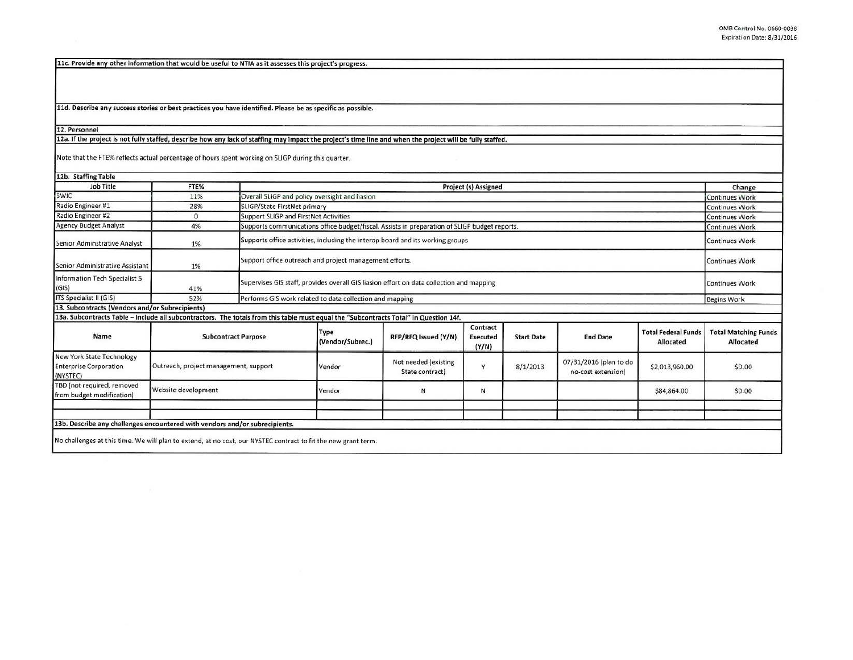11c. Provide any other information that would be useful to NTIA as it assesses this project's progress.

11d. Describe any success stories or best practices you have identified. Please be as specific as possible.

## 12. Personnel

12a. If the project is not fully staffed, describe how any lack of staffing may impact the project's time line and when the project will be fully staffed.

Note that the FTE% reflects actual percentage of hours spent working on SUGP during this quarter.

| 12b. Staffing Table                                                                                                                   |                                       |  |                                                                                                                        |                                         |                                      |                   |                                              |                                        |                                          |
|---------------------------------------------------------------------------------------------------------------------------------------|---------------------------------------|--|------------------------------------------------------------------------------------------------------------------------|-----------------------------------------|--------------------------------------|-------------------|----------------------------------------------|----------------------------------------|------------------------------------------|
| Job Title                                                                                                                             | FTE%                                  |  | Project (s) Assigned                                                                                                   |                                         |                                      |                   |                                              |                                        |                                          |
| SWIC                                                                                                                                  | 11%                                   |  | Overall SLIGP and policy oversight and liasion                                                                         |                                         |                                      |                   |                                              |                                        | Continues Work                           |
| Radio Engineer #1                                                                                                                     | 28%                                   |  | SLIGP/State FirstNet primary<br><b>Continues Work</b>                                                                  |                                         |                                      |                   |                                              |                                        |                                          |
| Radio Engineer #2                                                                                                                     | $\Omega$                              |  | Support SLIGP and FirstNet Activities<br><b>Continues Work</b>                                                         |                                         |                                      |                   |                                              |                                        |                                          |
| <b>Agency Budget Analyst</b>                                                                                                          | 4%                                    |  | Supports communications office budget/fiscal. Assists in preparation of SLIGP budget reports.<br><b>Continues Work</b> |                                         |                                      |                   |                                              |                                        |                                          |
| Senior Adminstrative Analyst                                                                                                          | 1%                                    |  | Supports office activities, including the interop board and its working groups<br>Continues Work                       |                                         |                                      |                   |                                              |                                        |                                          |
| Senior Administrative Assistant                                                                                                       | 1%                                    |  | Support office outreach and project management efforts.<br><b>Continues Work</b>                                       |                                         |                                      |                   |                                              |                                        |                                          |
| Information Tech Specialist 5<br>(GIS)                                                                                                | 41%                                   |  | Supervises GIS staff, provides overall GIS liasion effort on data collection and mapping                               |                                         |                                      |                   |                                              |                                        |                                          |
| ITS Specialist II (GIS)                                                                                                               | 52%                                   |  | Performs GIS work related to data collection and mapping                                                               |                                         |                                      |                   |                                              |                                        | <b>Begins Work</b>                       |
| 13. Subcontracts (Vendors and/or Subrecipients)                                                                                       |                                       |  |                                                                                                                        |                                         |                                      |                   |                                              |                                        |                                          |
| 13a. Subcontracts Table - Include all subcontractors. The totals from this table must equal the "Subcontracts Total" in Question 14f. |                                       |  |                                                                                                                        |                                         |                                      |                   |                                              |                                        |                                          |
| Name                                                                                                                                  | <b>Subcontract Purpose</b>            |  | Type<br>(Vendor/Subrec.)                                                                                               | RFP/RFQ Issued (Y/N)                    | Contract<br><b>Executed</b><br>(Y/N) | <b>Start Date</b> | <b>End Date</b>                              | <b>Total Federal Fund</b><br>Allocated | <b>Total Matching Funds</b><br>Allocated |
| New York State Technology<br><b>Enterprise Corporation</b><br>(NYSTEC)                                                                | Outreach, project management, support |  | Vendor                                                                                                                 | Not needed (existing<br>State contract) | Y                                    | 8/1/2013          | 07/31/2016 (plan to do<br>no-cost extension) | \$2,013,960.00                         | \$0.00                                   |
| TBD (not required, removed<br>from budget modification)                                                                               | Website development                   |  | Vendor                                                                                                                 | N                                       | N                                    |                   |                                              | \$84,864.00                            | \$0.00                                   |
|                                                                                                                                       |                                       |  |                                                                                                                        |                                         |                                      |                   |                                              |                                        |                                          |
|                                                                                                                                       |                                       |  |                                                                                                                        |                                         |                                      |                   |                                              |                                        |                                          |
| 13b. Describe any challenges encountered with vendors and/or subrecipients.                                                           |                                       |  |                                                                                                                        |                                         |                                      |                   |                                              |                                        |                                          |
| No challenges at this time. We will plan to extend, at no cost, our NYSTEC contract to fit the new grant term.                        |                                       |  |                                                                                                                        |                                         |                                      |                   |                                              |                                        |                                          |